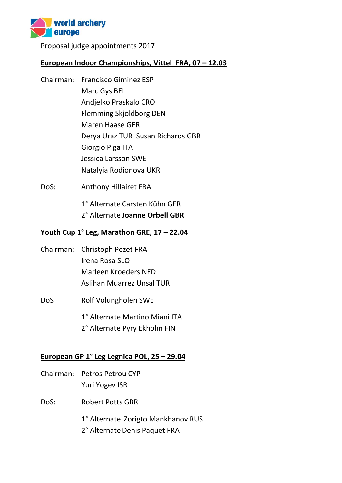

Proposal judge appointments 2017

## European Indoor Championships, Vittel FRA, 07 - 12.03

- Chairman: Francisco Giminez ESP Marc Gys BEL Andjelko Praskalo CRO Flemming Skjoldborg DEN Maren Haase GER Derya Uraz TUR Susan Richards GBR Giorgio Piga ITA Jessica Larsson SWE Natalyia Rodionova UKR
- DoS: Anthony Hillairet FRA

1° Alternate Carsten Kühn GER 2° Alternate **Joanne Orbell GBR**

# **Youth Cup 1° Leg, Marathon GRE, 17 – 22.04**

Chairman: Christoph Pezet FRA Irena Rosa SLO Marleen Kroeders NED Aslihan Muarrez Unsal TUR DoS Rolf Volungholen SWE

> 1° Alternate Martino Miani ITA 2° Alternate Pyry Ekholm FIN

### **European GP 1° Leg Legnica POL, 25 – 29.04**

- Chairman: Petros Petrou CYP Yuri Yogev ISR
- DoS: Robert Potts GBR

1° Alternate Zorigto Mankhanov RUS

2° Alternate Denis Paquet FRA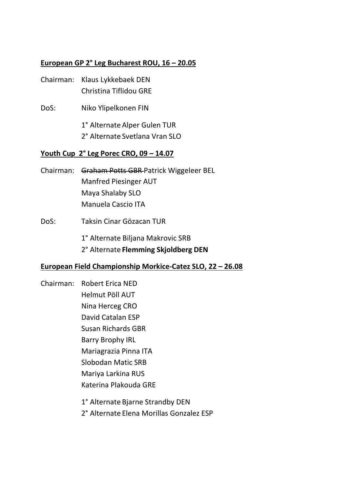# **European GP 2° Leg Bucharest ROU, 16 – 20.05**

| Chairman: Klaus Lykkebaek DEN |
|-------------------------------|
| Christina Tiflidou GRE        |

DoS: Niko Ylipelkonen FIN

1° Alternate Alper Gulen TUR 2° Alternate Svetlana Vran SLO

#### **Youth Cup 2° Leg Porec CRO, 09 – 14.07**

- Chairman: Graham Potts GBR Patrick Wiggeleer BEL Manfred Piesinger AUT Maya Shalaby SLO Manuela Cascio ITA
- DoS: Taksin Cinar Gözacan TUR

1° Alternate Biljana Makrovic SRB

2° Alternate **Flemming Skjoldberg DEN**

#### **European Field Championship Morkice-Catez SLO, 22 – 26.08**

- Chairman: Robert Erica NED Helmut Pöll AUT Nina Herceg CRO David Catalan ESP Susan Richards GBR Barry Brophy IRL Mariagrazia Pinna ITA Slobodan Matic SRB Mariya Larkina RUS Katerina Plakouda GRE 1° Alternate Bjarne Strandby DEN
	- 2° Alternate Elena Morillas Gonzalez ESP